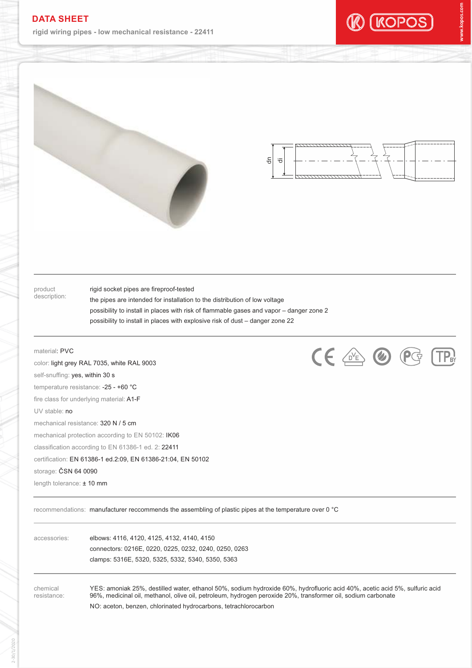## **DATA SHEET**

**rigid wiring pipes - low mechanical resistance - 22411**









product description: rigid socket pipes are fireproof-tested

possibility to install in places with risk of flammable gases and vapor – danger zone 2 the pipes are intended for installation to the distribution of low voltage possibility to install in places with explosive risk of dust – danger zone 22

## material: PVC

self-snuffing: yes, within 30 s UV stable: no mechanical resistance: 320 N / 5 cm mechanical protection according to EN 50102: IK06 temperature resistance: -25 - +60 °C color: light grey RAL 7035, white RAL 9003 fire class for underlying material: A1-F classification according to EN 61386-1 ed. 2: 22411 length tolerance: ± 10 mm certification: EN 61386-1 ed.2:09, EN 61386-21:04, EN 50102 storage: ČSN 64 0090



recommendations: manufacturer reccommends the assembling of plastic pipes at the temperature over 0 °C

accessories: elbows: 4116, 4120, 4125, 4132, 4140, 4150 connectors: 0216E, 0220, 0225, 0232, 0240, 0250, 0263 clamps: 5316E, 5320, 5325, 5332, 5340, 5350, 5363

chemical resistance: YES: amoniak 25%, destilled water, ethanol 50%, sodium hydroxide 60%, hydrofluoric acid 40%, acetic acid 5%, sulfuric acid 96%, medicinal oil, methanol, olive oil, petroleum, hydrogen peroxide 20%, transformer oil, sodium carbonate